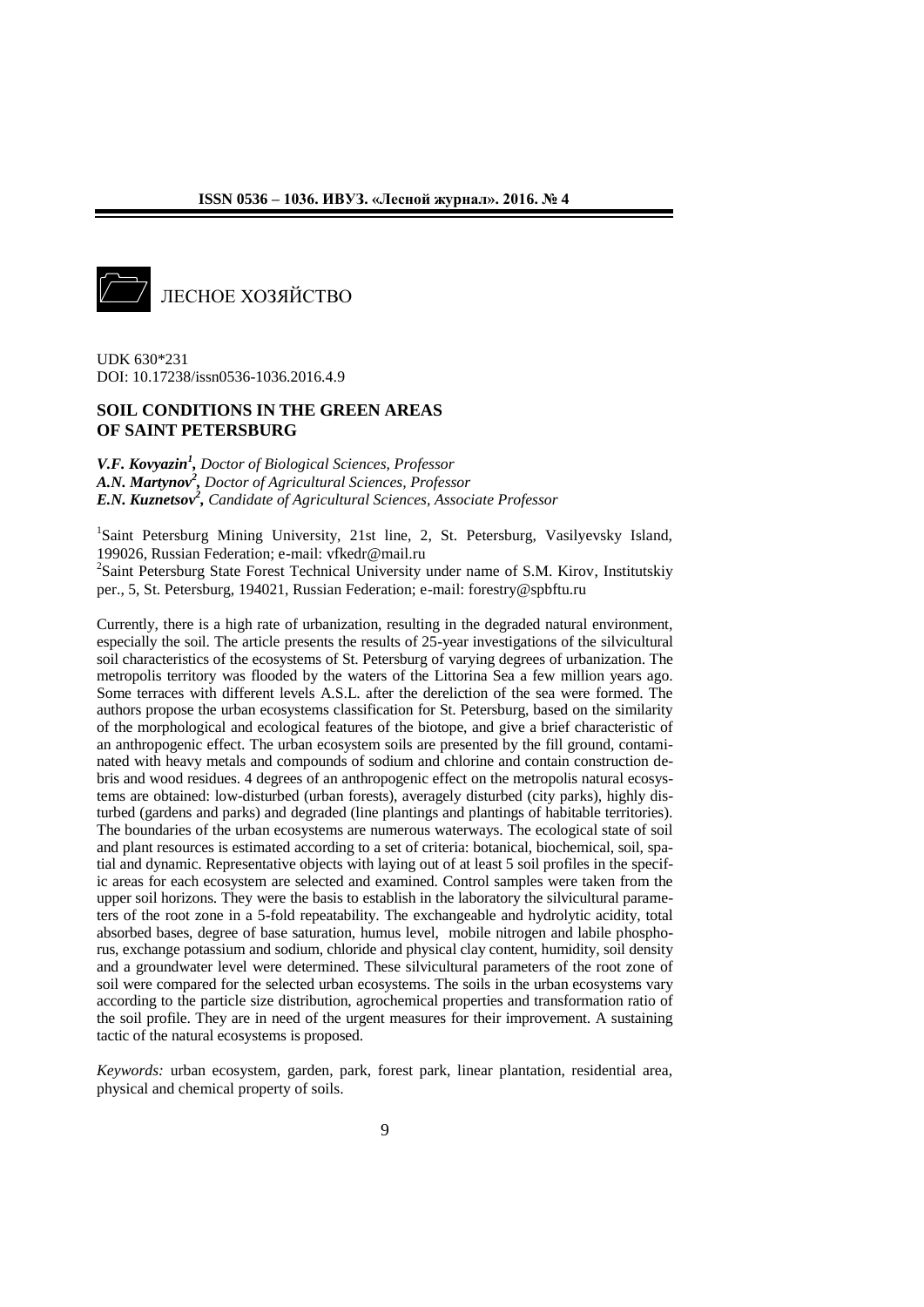

UDK 630\*231 DOI: 10.17238/issn0536-1036.2016.4.9

# **SOIL CONDITIONS IN THE GREEN AREAS OF SAINT PETERSBURG**

*V.F. Kovyazin<sup>1</sup> , Doctor of Biological Sciences, Professor A.N. Martynov<sup>2</sup> , Doctor of Agricultural Sciences, Professor E.N. Kuznetsov<sup>2</sup> , Candidate of Agricultural Sciences, Associate Professor*

<sup>1</sup>Saint Petersburg Mining University, 21st line, 2, St. Petersburg, Vasilyevsky Island, 199026, Russian Federation; e-mail: vfkedr@mail.ru <sup>2</sup>Saint Petersburg State Forest Technical University under name of S.M. Kirov, Institutskiy per., 5, St. Petersburg, 194021, Russian Federation; e-mail: forestry@spbftu.ru

Currently, there is a high rate of urbanization, resulting in the degraded natural environment, especially the soil. The article presents the results of 25-year investigations of the silvicultural soil characteristics of the ecosystems of St. Petersburg of varying degrees of urbanization. The metropolis territory was flooded by the waters of the Littorina Sea a few million years ago. Some terraces with different levels A.S.L. after the dereliction of the sea were formed. The authors propose the urban ecosystems classification for St. Petersburg, based on the similarity of the morphological and ecological features of the biotope, and give a brief characteristic of an anthropogenic effect. The urban ecosystem soils are presented by the fill ground, contaminated with heavy metals and compounds of sodium and chlorine and contain construction debris and wood residues. 4 degrees of an anthropogenic effect on the metropolis natural ecosystems are obtained: low-disturbed (urban forests), averagely disturbed (city parks), highly disturbed (gardens and parks) and degraded (line plantings and plantings of habitable territories). The boundaries of the urban ecosystems are numerous waterways. The ecological state of soil and plant resources is estimated according to a set of criteria: botanical, biochemical, soil, spatial and dynamic. Representative objects with laying out of at least 5 soil profiles in the specific areas for each ecosystem are selected and examined. Control samples were taken from the upper soil horizons. They were the basis to establish in the laboratory the silvicultural parameters of the root zone in a 5-fold repeatability. The exchangeable and hydrolytic acidity, total absorbed bases, degree of base saturation, humus level, mobile nitrogen and labile phosphorus, exchange potassium and sodium, chloride and physical clay content, humidity, soil density and a groundwater level were determined. These silvicultural parameters of the root zone of soil were compared for the selected urban ecosystems. The soils in the urban ecosystems vary according to the particle size distribution, agrochemical properties and transformation ratio of the soil profile. They are in need of the urgent measures for their improvement. A sustaining tactic of the natural ecosystems is proposed.

*Keywords:* urban ecosystem, garden, park, forest park, linear plantation, residential area, physical and chemical property of soils.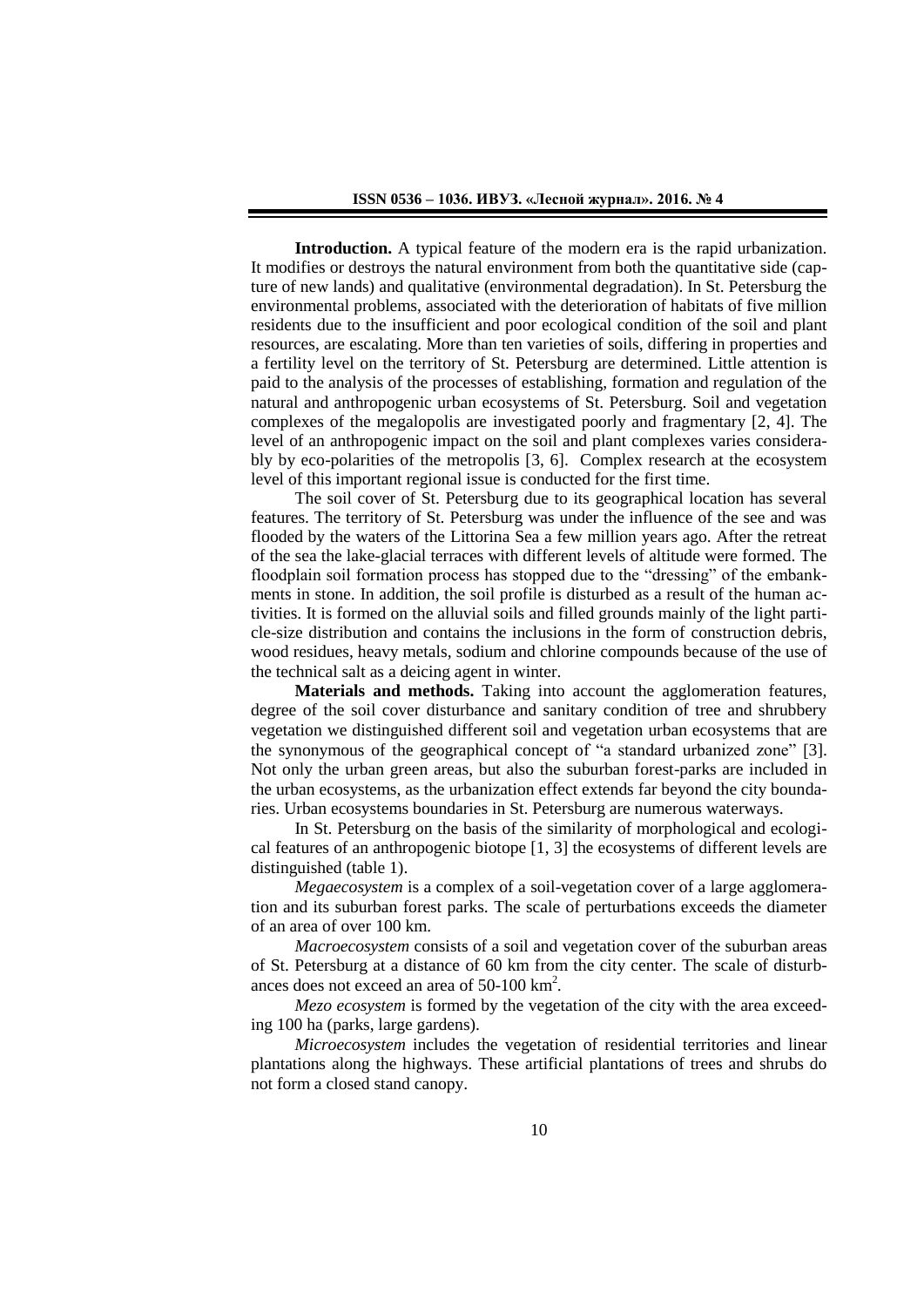**Introduction.** A typical feature of the modern era is the rapid urbanization. It modifies or destroys the natural environment from both the quantitative side (capture of new lands) and qualitative (environmental degradation). In St. Petersburg the environmental problems, associated with the deterioration of habitats of five million residents due to the insufficient and poor ecological condition of the soil and plant resources, are escalating. More than ten varieties of soils, differing in properties and a fertility level on the territory of St. Petersburg are determined. Little attention is paid to the analysis of the processes of establishing, formation and regulation of the natural and anthropogenic urban ecosystems of St. Petersburg. Soil and vegetation complexes of the megalopolis are investigated poorly and fragmentary [2, 4]. The level of an anthropogenic impact on the soil and plant complexes varies considerably by eco-polarities of the metropolis [3, 6]. Complex research at the ecosystem level of this important regional issue is conducted for the first time.

The soil cover of St. Petersburg due to its geographical location has several features. The territory of St. Petersburg was under the influence of the see and was flooded by the waters of the Littorina Sea a few million years ago. After the retreat of the sea the lake-glacial terraces with different levels of altitude were formed. The floodplain soil formation process has stopped due to the "dressing" of the embankments in stone. In addition, the soil profile is disturbed as a result of the human activities. It is formed on the alluvial soils and filled grounds mainly of the light particle-size distribution and contains the inclusions in the form of construction debris, wood residues, heavy metals, sodium and chlorine compounds because of the use of the technical salt as a deicing agent in winter.

**Materials and methods.** Taking into account the agglomeration features, degree of the soil cover disturbance and sanitary condition of tree and shrubbery vegetation we distinguished different soil and vegetation urban ecosystems that are the synonymous of the geographical concept of "a standard urbanized zone" [3]. Not only the urban green areas, but also the suburban forest-parks are included in the urban ecosystems, as the urbanization effect extends far beyond the city boundaries. Urban ecosystems boundaries in St. Petersburg are numerous waterways.

In St. Petersburg on the basis of the similarity of morphological and ecological features of an anthropogenic biotope [1, 3] the ecosystems of different levels are distinguished (table 1).

*Megaecosystem* is a complex of a soil-vegetation cover of a large agglomeration and its suburban forest parks. The scale of perturbations exceeds the diameter of an area of over 100 km.

*Macroecosystem* consists of a soil and vegetation cover of the suburban areas of St. Petersburg at a distance of 60 km from the city center. The scale of disturbances does not exceed an area of 50-100 km<sup>2</sup> *.* 

*Mezo ecosystem* is formed by the vegetation of the city with the area exceeding 100 ha (parks, large gardens).

*Microecosystem* includes the vegetation of residential territories and linear plantations along the highways. These artificial plantations of trees and shrubs do not form a closed stand canopy.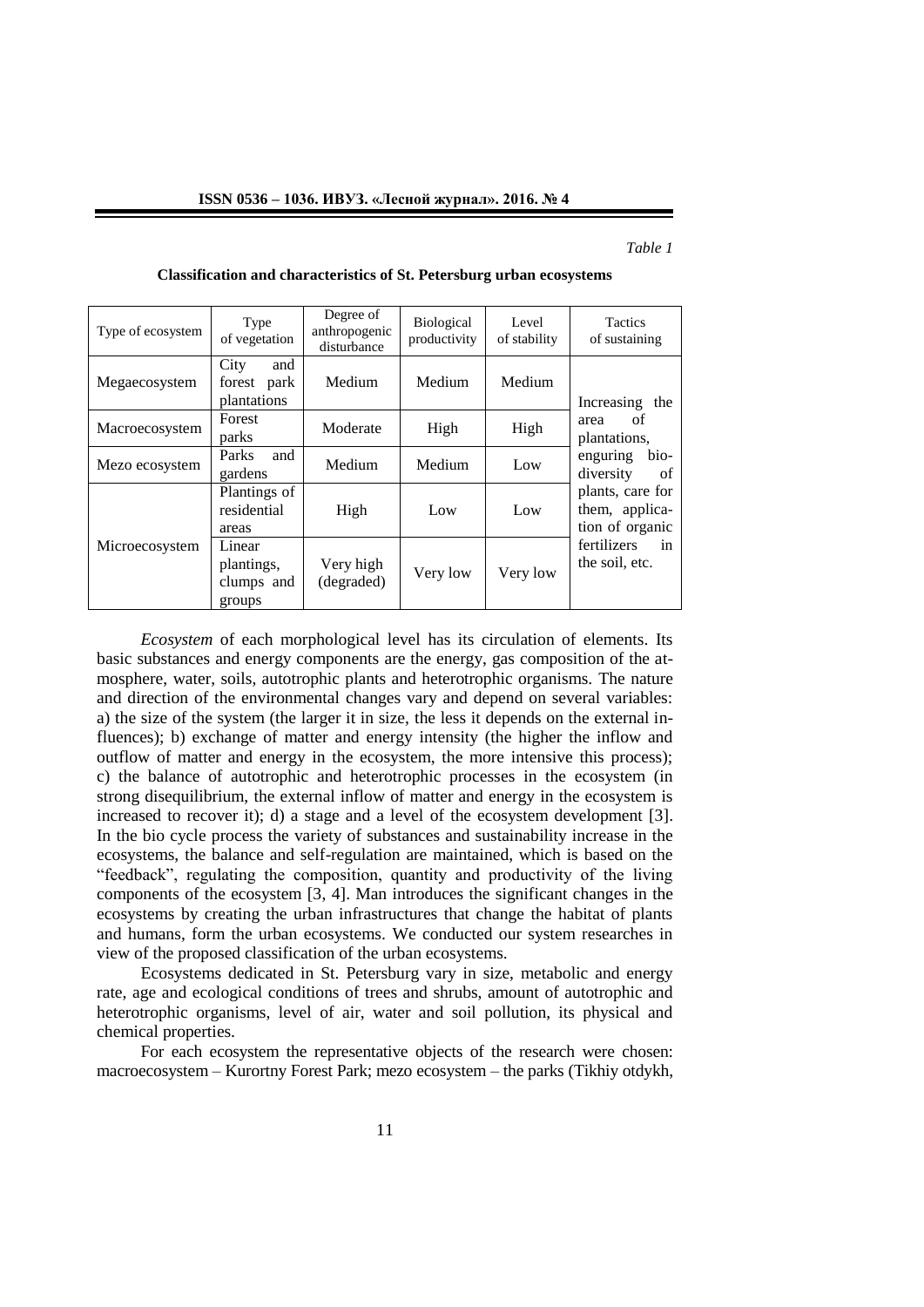### *Table 1*

| Type of ecosystem | Type<br>of vegetation                        | Degree of<br>anthropogenic<br>disturbance | <b>Biological</b><br>productivity | Level<br>of stability | Tactics<br>of sustaining                              |
|-------------------|----------------------------------------------|-------------------------------------------|-----------------------------------|-----------------------|-------------------------------------------------------|
| Megaecosystem     | City<br>and<br>park<br>forest<br>plantations | Medium                                    | Medium                            | Medium                | Increasing the                                        |
| Macroecosystem    | Forest<br>parks                              | Moderate                                  | High                              | High                  | of<br>area<br>plantations,                            |
| Mezo ecosystem    | <b>Parks</b><br>and<br>gardens               | Medium                                    | Medium                            | Low                   | bio-<br>enguring<br>diversity<br>of                   |
|                   | Plantings of<br>residential<br>areas         | High                                      | Low                               | Low                   | plants, care for<br>them, applica-<br>tion of organic |
| Microecosystem    | Linear<br>plantings,<br>clumps and<br>groups | Very high<br>(degraded)                   | Very low                          | Very low              | fertilizers<br>in<br>the soil, etc.                   |

**Classification and characteristics of St. Petersburg urban ecosystems**

*Ecosystem* of each morphological level has its circulation of elements. Its basic substances and energy components are the energy, gas composition of the atmosphere, water, soils, autotrophic plants and heterotrophic organisms*.* The nature and direction of the environmental changes vary and depend on several variables: a) the size of the system (the larger it in size, the less it depends on the external influences); b) exchange of matter and energy intensity (the higher the inflow and outflow of matter and energy in the ecosystem, the more intensive this process); c) the balance of autotrophic and heterotrophic processes in the ecosystem (in strong disequilibrium, the external inflow of matter and energy in the ecosystem is increased to recover it); d) a stage and a level of the ecosystem development [3]. In the bio cycle process the variety of substances and sustainability increase in the ecosystems, the balance and self-regulation are maintained, which is based on the "feedback", regulating the composition, quantity and productivity of the living components of the ecosystem [3, 4]. Man introduces the significant changes in the ecosystems by creating the urban infrastructures that change the habitat of plants and humans, form the urban ecosystems. We conducted our system researches in view of the proposed classification of the urban ecosystems.

Ecosystems dedicated in St. Petersburg vary in size, metabolic and energy rate, age and ecological conditions of trees and shrubs, amount of autotrophic and heterotrophic organisms, level of air, water and soil pollution, its physical and chemical properties.

For each ecosystem the representative objects of the research were chosen: macroecosystem – Kurortny Forest Park; mezo ecosystem – the parks (Tikhiy otdykh,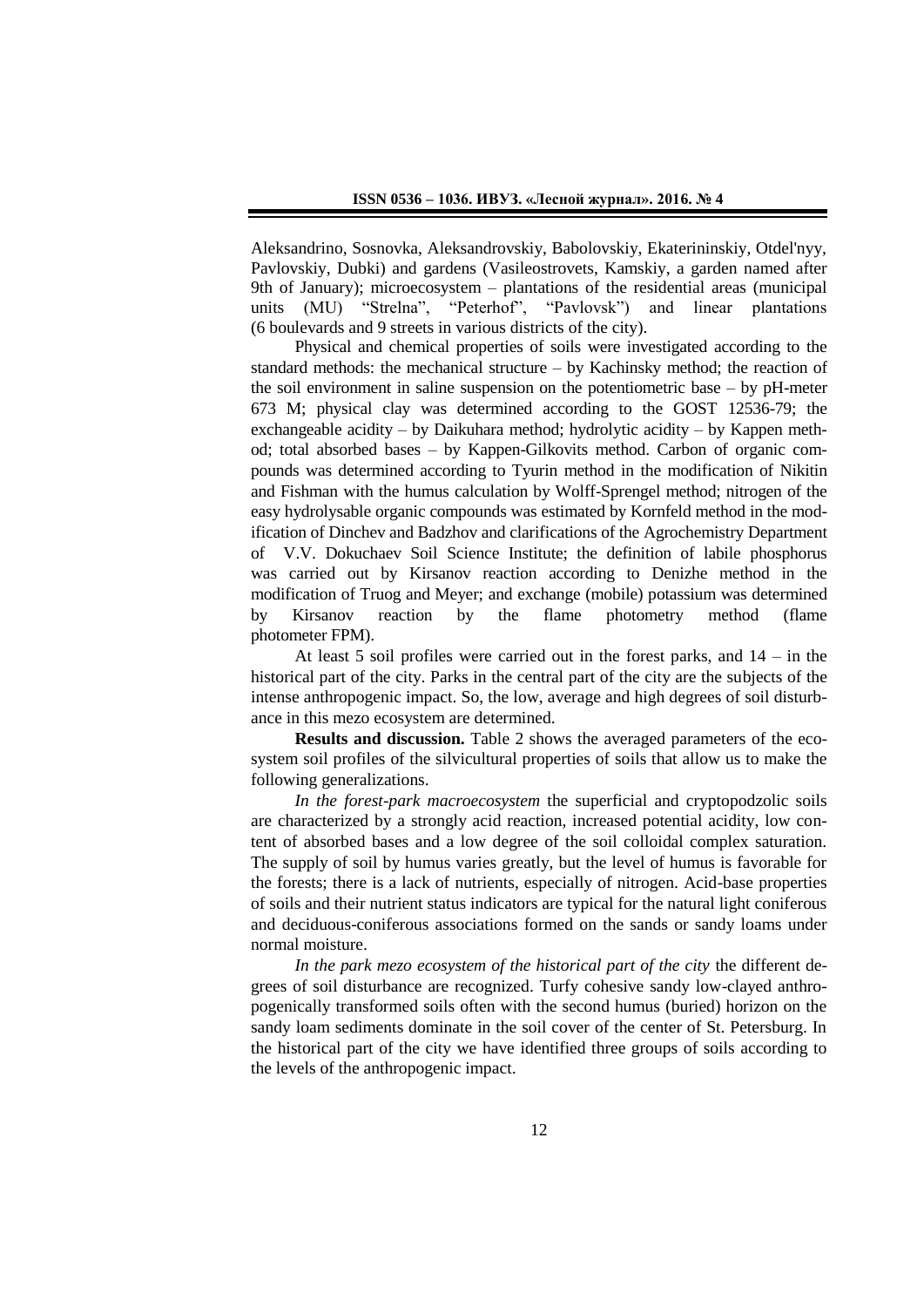Aleksandrino, Sosnovka, Aleksandrovskiy, Babolovskiy, Ekaterininskiy, Otdel'nyy, Pavlovskiy, Dubki) and gardens (Vasileostrovets, Kamskiy, a garden named after 9th of January); microecosystem – plantations of the residential areas (municipal units (MU) "Strelna", "Peterhof", "Pavlovsk") and linear plantations (6 boulevards and 9 streets in various districts of the city).

Physical and chemical properties of soils were investigated according to the standard methods: the mechanical structure – by Kachinsky method; the reaction of the soil environment in saline suspension on the potentiometric base – by pH-meter 673 M; physical clay was determined according to the GOST 12536-79; the exchangeable acidity – by Daikuhara method; hydrolytic acidity – by Kappen method; total absorbed bases – by Kappen-Gilkovits method. Carbon of organic compounds was determined according to Tyurin method in the modification of Nikitin and Fishman with the humus calculation by Wolff-Sprengel method; nitrogen of the easy hydrolysable organic compounds was estimated by Kornfeld method in the modification of Dinchev and Badzhov and clarifications of the Agrochemistry Department of V.V. Dokuchaev Soil Science Institute; the definition of labile phosphorus was carried out by Kirsanov reaction according to Denizhe method in the modification of Truog and Meyer; and exchange (mobile) potassium was determined by Kirsanov reaction by the flame photometry method (flame photometer FPM).

At least 5 soil profiles were carried out in the forest parks, and 14 – in the historical part of the city. Parks in the central part of the city are the subjects of the intense anthropogenic impact. So, the low, average and high degrees of soil disturbance in this mezo ecosystem are determined.

**Results and discussion.** Table 2 shows the averaged parameters of the ecosystem soil profiles of the silvicultural properties of soils that allow us to make the following generalizations.

*In the forest-park macroecosystem* the superficial and cryptopodzolic soils are characterized by a strongly acid reaction, increased potential acidity, low content of absorbed bases and a low degree of the soil colloidal complex saturation. The supply of soil by humus varies greatly, but the level of humus is favorable for the forests; there is a lack of nutrients, especially of nitrogen. Acid-base properties of soils and their nutrient status indicators are typical for the natural light coniferous and deciduous-coniferous associations formed on the sands or sandy loams under normal moisture.

*In the park mezo ecosystem of the historical part of the city* the different degrees of soil disturbance are recognized. Turfy cohesive sandy low-clayed anthropogenically transformed soils often with the second humus (buried) horizon on the sandy loam sediments dominate in the soil cover of the center of St. Petersburg. In the historical part of the city we have identified three groups of soils according to the levels of the anthropogenic impact.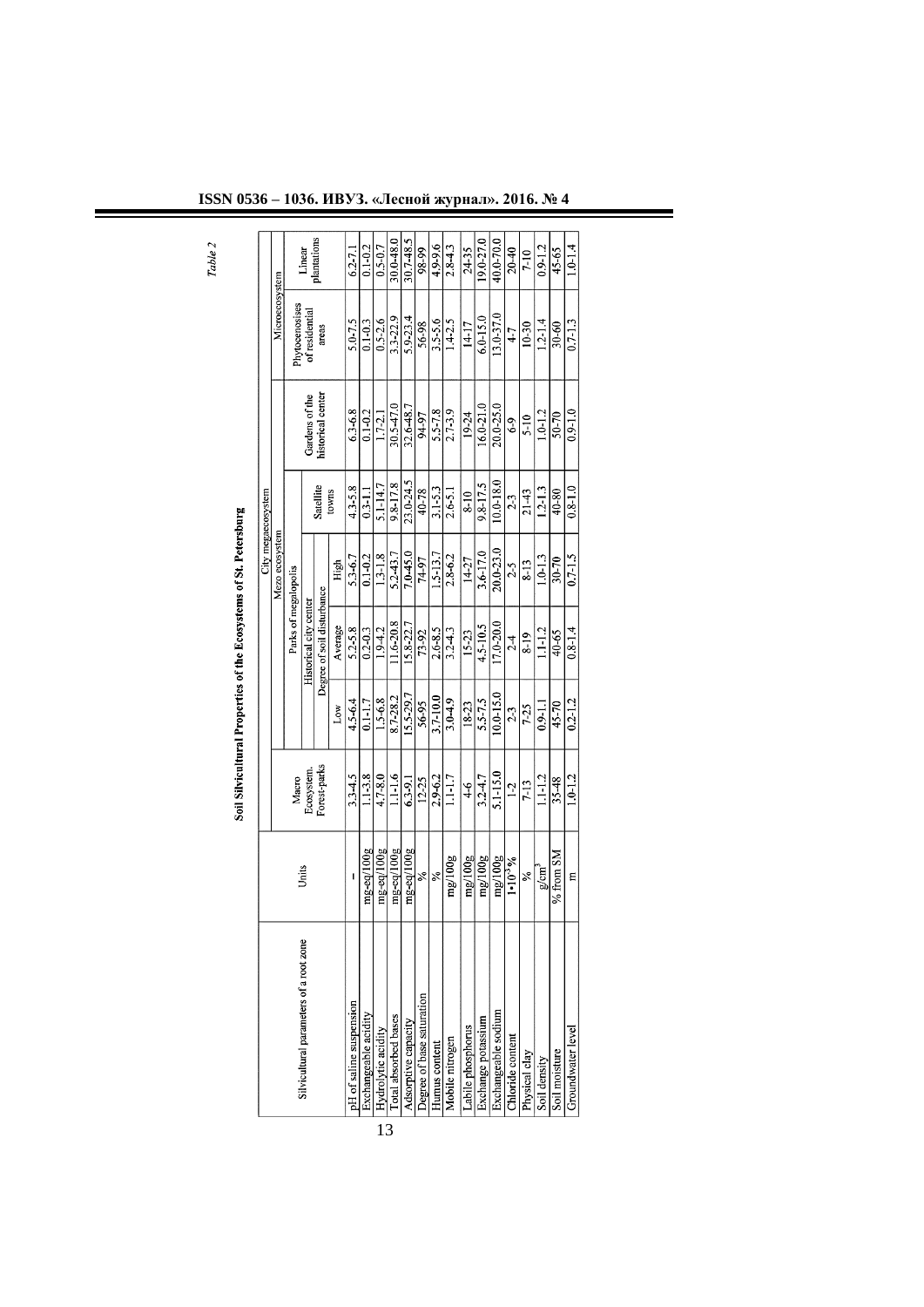| plantations<br>30.7-48.5<br>40.0-70.0<br>30.0-48.0<br>19.0-27.0<br>4.9-9.6<br>$0.1 - 0.2$<br>$0.5 - 0.7$<br>$2.8 - 4.3$<br>$0.9 - 1.2$<br>$1.0 - 1.4$<br>24-35<br>$20 - 40$<br>$6.2 - 7.1$<br>98-99<br>45-65<br>Linear<br>$7-10$<br>Microecosystem<br><sup>2</sup> hytocenosises<br>of residential<br>13.0-37.0<br>3.3-22.9<br>$6.0 - 15.0$<br>5.9-23.4<br>5.0-7.5<br>$0.1 - 0.3$<br>$0.5 - 2.6$<br>$3.5 - 5.6$<br>$1.2 - 1.4$<br>$0.7 - 1.3$<br>$1.4 - 2.5$<br>56-98<br>$14-17$<br>30-60<br>$10-30$<br>areas<br>$4-7$<br>historical center<br>Gardens of the<br>16.0-21.0<br>30.5-47.0<br>$20.0 - 25.0$<br>32.6-48.7<br>$5.5 - 7.8$<br>$6.3 - 6.8$<br>$0.1 - 0.2$<br>$2.7 - 3.9$<br>$1.0 - 1.2$<br>$0.9 - 1.0$<br>19-24<br>50-70<br>$1.7 - 2.1$<br>94-97<br>$5 - 10$<br>$6-9$<br>23.0-24.5<br>$10.0 - 18.0$<br>9.8-17.8<br>9.8-17.5<br>$5.1 - 14.7$<br>Satellite<br>4.3-5.8<br>$0.8 - 1.0$<br>$3.1 - 5.3$<br>$1.2 - 1.3$<br>40-78<br>$21-43$<br>$0.3 - 1.1$<br>$2.6 - 5.1$<br>40-80<br>$8 - 10$<br>towns<br>$2-3$<br>Mezo ecosystem<br>20.0-23.0<br>3.6-17.0<br>7.0-45.0<br>5.2-43.7<br>$1.5 - 13.7$<br>$0.7 - 1.5$<br>$0.1 - 0.2$<br>$1.3 - 1.8$<br>5.3-6.7<br>2.8-6.2<br>$1.0 - 1.3$<br>30-70<br>$14 - 27$<br>74-97<br>$8 - 13$<br>High<br>2.5<br>Parks of megalopolis<br>Degree of soil disturbance<br>Historical city center<br>1.6-20.8<br>17.0-20.0<br>15.8-22.7<br>4.5-10.5<br>Average<br>5.2-5.8<br>$0.8 - 1.4$<br>$0.2 - 0.3$<br>1.9-4.2<br>$2.6 - 8.5$<br>$1.1 - 2$<br>$3.2 - 4.3$<br>$15 - 23$<br>73-92<br>40-65<br>$8 - 19$<br>$2-4$<br>10.0-15.0<br>15.5-29.7<br>8.7-28.2<br>$3.7 - 10.0$<br>4.5-6.4<br>$1.5 - 6.8$<br>5.5-7.5<br>$0.2 - 1.2$<br>$0.1 - 1.7$<br>$3.0 - 4.9$<br>56-95<br>$18-23$<br>45-70<br>$0.9 - 1.1$<br>$7 - 25$<br>Low<br>$2-3$<br>Forest-parks<br>Ecosystem<br>5.1-15.0<br>$1.1 - 3.8$<br>$1.1 - 1.6$<br>$3.3 - 4.5$<br>$4.7 - 8.0$<br>$3.2 - 4.7$<br>$1.1 - 2$<br>$1.0 - 1.2$<br>$2.9 - 6.2$<br>$1.1 - 1.7$<br>35-48<br>Macro<br>6.3-9.1<br>$12 - 25$<br>$7 - 13$<br>$^{4-6}$<br>$1-2$<br>mg-eq/100g<br>$mg$ -eq/ $100g$<br>mg-eq/100g<br>$mg$ -eq/ $100g$<br>% from SM<br>mg/100g<br>mg/100g<br>mg/100g<br>mg/100g<br>$1 \cdot 10^{-3} \%$<br>Units<br>g/cm <sup>3</sup><br>৯ৎ<br>℅<br>℅<br>Ε<br>I<br>Silvicultural parameters of a root zone<br>Degree of base saturation<br>Labile phosphorus |  |  |  | City megaecosystem |  |  |
|--------------------------------------------------------------------------------------------------------------------------------------------------------------------------------------------------------------------------------------------------------------------------------------------------------------------------------------------------------------------------------------------------------------------------------------------------------------------------------------------------------------------------------------------------------------------------------------------------------------------------------------------------------------------------------------------------------------------------------------------------------------------------------------------------------------------------------------------------------------------------------------------------------------------------------------------------------------------------------------------------------------------------------------------------------------------------------------------------------------------------------------------------------------------------------------------------------------------------------------------------------------------------------------------------------------------------------------------------------------------------------------------------------------------------------------------------------------------------------------------------------------------------------------------------------------------------------------------------------------------------------------------------------------------------------------------------------------------------------------------------------------------------------------------------------------------------------------------------------------------------------------------------------------------------------------------------------------------------------------------------------------------------------------------------------------------------------------------------------------------------------------------------------------------------------------------------------------------------------------------------------------------------------------------------------------------------------------|--|--|--|--------------------|--|--|
| pH of saline suspension<br>Exchangeable sodium<br>Exchangeable acidity<br>Total absorbed bases<br>Exchange potassium<br>Adsorptive capacity<br>Groundwater level<br>Chloride content<br>Humus content                                                                                                                                                                                                                                                                                                                                                                                                                                                                                                                                                                                                                                                                                                                                                                                                                                                                                                                                                                                                                                                                                                                                                                                                                                                                                                                                                                                                                                                                                                                                                                                                                                                                                                                                                                                                                                                                                                                                                                                                                                                                                                                                |  |  |  |                    |  |  |
| Hydrolytic acidity<br>Mobile nitrogen<br>Soil moisture<br>Physical clay<br>Soil density                                                                                                                                                                                                                                                                                                                                                                                                                                                                                                                                                                                                                                                                                                                                                                                                                                                                                                                                                                                                                                                                                                                                                                                                                                                                                                                                                                                                                                                                                                                                                                                                                                                                                                                                                                                                                                                                                                                                                                                                                                                                                                                                                                                                                                              |  |  |  |                    |  |  |
|                                                                                                                                                                                                                                                                                                                                                                                                                                                                                                                                                                                                                                                                                                                                                                                                                                                                                                                                                                                                                                                                                                                                                                                                                                                                                                                                                                                                                                                                                                                                                                                                                                                                                                                                                                                                                                                                                                                                                                                                                                                                                                                                                                                                                                                                                                                                      |  |  |  |                    |  |  |
|                                                                                                                                                                                                                                                                                                                                                                                                                                                                                                                                                                                                                                                                                                                                                                                                                                                                                                                                                                                                                                                                                                                                                                                                                                                                                                                                                                                                                                                                                                                                                                                                                                                                                                                                                                                                                                                                                                                                                                                                                                                                                                                                                                                                                                                                                                                                      |  |  |  |                    |  |  |
|                                                                                                                                                                                                                                                                                                                                                                                                                                                                                                                                                                                                                                                                                                                                                                                                                                                                                                                                                                                                                                                                                                                                                                                                                                                                                                                                                                                                                                                                                                                                                                                                                                                                                                                                                                                                                                                                                                                                                                                                                                                                                                                                                                                                                                                                                                                                      |  |  |  |                    |  |  |
|                                                                                                                                                                                                                                                                                                                                                                                                                                                                                                                                                                                                                                                                                                                                                                                                                                                                                                                                                                                                                                                                                                                                                                                                                                                                                                                                                                                                                                                                                                                                                                                                                                                                                                                                                                                                                                                                                                                                                                                                                                                                                                                                                                                                                                                                                                                                      |  |  |  |                    |  |  |
|                                                                                                                                                                                                                                                                                                                                                                                                                                                                                                                                                                                                                                                                                                                                                                                                                                                                                                                                                                                                                                                                                                                                                                                                                                                                                                                                                                                                                                                                                                                                                                                                                                                                                                                                                                                                                                                                                                                                                                                                                                                                                                                                                                                                                                                                                                                                      |  |  |  |                    |  |  |
|                                                                                                                                                                                                                                                                                                                                                                                                                                                                                                                                                                                                                                                                                                                                                                                                                                                                                                                                                                                                                                                                                                                                                                                                                                                                                                                                                                                                                                                                                                                                                                                                                                                                                                                                                                                                                                                                                                                                                                                                                                                                                                                                                                                                                                                                                                                                      |  |  |  |                    |  |  |
|                                                                                                                                                                                                                                                                                                                                                                                                                                                                                                                                                                                                                                                                                                                                                                                                                                                                                                                                                                                                                                                                                                                                                                                                                                                                                                                                                                                                                                                                                                                                                                                                                                                                                                                                                                                                                                                                                                                                                                                                                                                                                                                                                                                                                                                                                                                                      |  |  |  |                    |  |  |
|                                                                                                                                                                                                                                                                                                                                                                                                                                                                                                                                                                                                                                                                                                                                                                                                                                                                                                                                                                                                                                                                                                                                                                                                                                                                                                                                                                                                                                                                                                                                                                                                                                                                                                                                                                                                                                                                                                                                                                                                                                                                                                                                                                                                                                                                                                                                      |  |  |  |                    |  |  |
|                                                                                                                                                                                                                                                                                                                                                                                                                                                                                                                                                                                                                                                                                                                                                                                                                                                                                                                                                                                                                                                                                                                                                                                                                                                                                                                                                                                                                                                                                                                                                                                                                                                                                                                                                                                                                                                                                                                                                                                                                                                                                                                                                                                                                                                                                                                                      |  |  |  |                    |  |  |
|                                                                                                                                                                                                                                                                                                                                                                                                                                                                                                                                                                                                                                                                                                                                                                                                                                                                                                                                                                                                                                                                                                                                                                                                                                                                                                                                                                                                                                                                                                                                                                                                                                                                                                                                                                                                                                                                                                                                                                                                                                                                                                                                                                                                                                                                                                                                      |  |  |  |                    |  |  |
|                                                                                                                                                                                                                                                                                                                                                                                                                                                                                                                                                                                                                                                                                                                                                                                                                                                                                                                                                                                                                                                                                                                                                                                                                                                                                                                                                                                                                                                                                                                                                                                                                                                                                                                                                                                                                                                                                                                                                                                                                                                                                                                                                                                                                                                                                                                                      |  |  |  |                    |  |  |
|                                                                                                                                                                                                                                                                                                                                                                                                                                                                                                                                                                                                                                                                                                                                                                                                                                                                                                                                                                                                                                                                                                                                                                                                                                                                                                                                                                                                                                                                                                                                                                                                                                                                                                                                                                                                                                                                                                                                                                                                                                                                                                                                                                                                                                                                                                                                      |  |  |  |                    |  |  |
|                                                                                                                                                                                                                                                                                                                                                                                                                                                                                                                                                                                                                                                                                                                                                                                                                                                                                                                                                                                                                                                                                                                                                                                                                                                                                                                                                                                                                                                                                                                                                                                                                                                                                                                                                                                                                                                                                                                                                                                                                                                                                                                                                                                                                                                                                                                                      |  |  |  |                    |  |  |
|                                                                                                                                                                                                                                                                                                                                                                                                                                                                                                                                                                                                                                                                                                                                                                                                                                                                                                                                                                                                                                                                                                                                                                                                                                                                                                                                                                                                                                                                                                                                                                                                                                                                                                                                                                                                                                                                                                                                                                                                                                                                                                                                                                                                                                                                                                                                      |  |  |  |                    |  |  |
|                                                                                                                                                                                                                                                                                                                                                                                                                                                                                                                                                                                                                                                                                                                                                                                                                                                                                                                                                                                                                                                                                                                                                                                                                                                                                                                                                                                                                                                                                                                                                                                                                                                                                                                                                                                                                                                                                                                                                                                                                                                                                                                                                                                                                                                                                                                                      |  |  |  |                    |  |  |
|                                                                                                                                                                                                                                                                                                                                                                                                                                                                                                                                                                                                                                                                                                                                                                                                                                                                                                                                                                                                                                                                                                                                                                                                                                                                                                                                                                                                                                                                                                                                                                                                                                                                                                                                                                                                                                                                                                                                                                                                                                                                                                                                                                                                                                                                                                                                      |  |  |  |                    |  |  |
|                                                                                                                                                                                                                                                                                                                                                                                                                                                                                                                                                                                                                                                                                                                                                                                                                                                                                                                                                                                                                                                                                                                                                                                                                                                                                                                                                                                                                                                                                                                                                                                                                                                                                                                                                                                                                                                                                                                                                                                                                                                                                                                                                                                                                                                                                                                                      |  |  |  |                    |  |  |
|                                                                                                                                                                                                                                                                                                                                                                                                                                                                                                                                                                                                                                                                                                                                                                                                                                                                                                                                                                                                                                                                                                                                                                                                                                                                                                                                                                                                                                                                                                                                                                                                                                                                                                                                                                                                                                                                                                                                                                                                                                                                                                                                                                                                                                                                                                                                      |  |  |  |                    |  |  |
|                                                                                                                                                                                                                                                                                                                                                                                                                                                                                                                                                                                                                                                                                                                                                                                                                                                                                                                                                                                                                                                                                                                                                                                                                                                                                                                                                                                                                                                                                                                                                                                                                                                                                                                                                                                                                                                                                                                                                                                                                                                                                                                                                                                                                                                                                                                                      |  |  |  |                    |  |  |

13

**ISSN 0536 – 1036. ИВУЗ. «Лесной журнал». 2016. № 4**

Table 2

# Soil Silvicultural Properties of the Ecosystems of St. Petersburg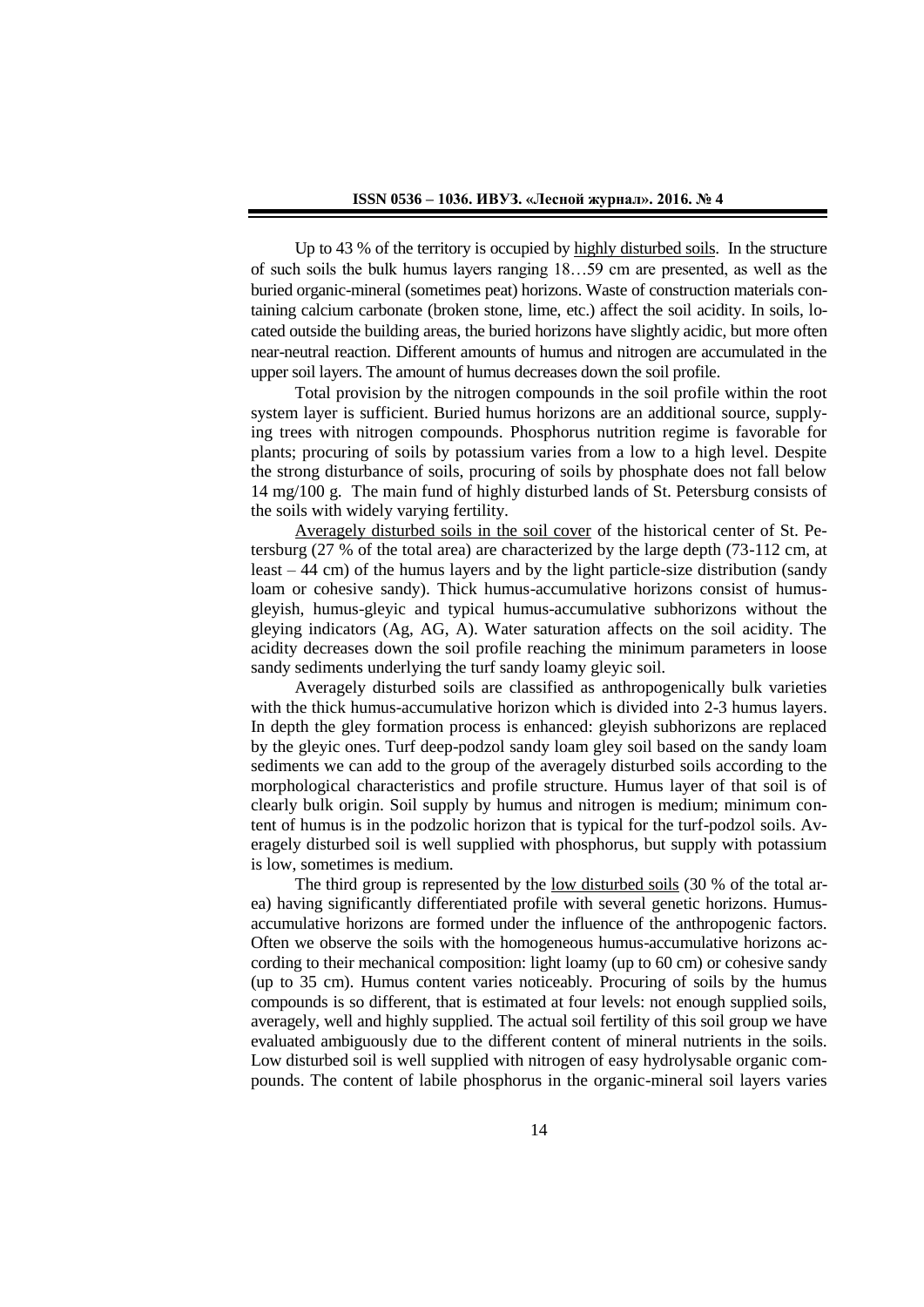Up to 43 % of the territory is occupied by highly disturbed soils. In the structure of such soils the bulk humus layers ranging 18…59 cm are presented, as well as the buried organic-mineral (sometimes peat) horizons. Waste of construction materials containing calcium carbonate (broken stone, lime, etc.) affect the soil acidity. In soils, located outside the building areas, the buried horizons have slightly acidic, but more often near-neutral reaction. Different amounts of humus and nitrogen are accumulated in the upper soil layers. The amount of humus decreases down the soil profile.

Total provision by the nitrogen compounds in the soil profile within the root system layer is sufficient. Buried humus horizons are an additional source, supplying trees with nitrogen compounds. Phosphorus nutrition regime is favorable for plants; procuring of soils by potassium varies from a low to a high level. Despite the strong disturbance of soils, procuring of soils by phosphate does not fall below 14 mg/100 g. The main fund of highly disturbed lands of St. Petersburg consists of the soils with widely varying fertility.

Averagely disturbed soils in the soil cover of the historical center of St. Petersburg (27 % of the total area) are characterized by the large depth (73-112 cm, at least – 44 cm) of the humus layers and by the light particle-size distribution (sandy loam or cohesive sandy). Thick humus-accumulative horizons consist of humusgleyish, humus-gleyic and typical humus-accumulative subhorizons without the gleying indicators (Ag, AG, A). Water saturation affects on the soil acidity. The acidity decreases down the soil profile reaching the minimum parameters in loose sandy sediments underlying the turf sandy loamy gleyic soil.

Averagely disturbed soils are classified as anthropogenically bulk varieties with the thick humus-accumulative horizon which is divided into 2-3 humus layers. In depth the gley formation process is enhanced: gleyish subhorizons are replaced by the gleyic ones. Turf deep-podzol sandy loam gley soil based on the sandy loam sediments we can add to the group of the averagely disturbed soils according to the morphological characteristics and profile structure. Humus layer of that soil is of clearly bulk origin. Soil supply by humus and nitrogen is medium; minimum content of humus is in the podzolic horizon that is typical for the turf-podzol soils. Averagely disturbed soil is well supplied with phosphorus, but supply with potassium is low, sometimes is medium.

The third group is represented by the low disturbed soils (30 % of the total area) having significantly differentiated profile with several genetic horizons. Humusaccumulative horizons are formed under the influence of the anthropogenic factors. Often we observe the soils with the homogeneous humus-accumulative horizons according to their mechanical composition: light loamy (up to 60 cm) or cohesive sandy (up to 35 cm). Humus content varies noticeably. Procuring of soils by the humus compounds is so different, that is estimated at four levels: not enough supplied soils, averagely, well and highly supplied. The actual soil fertility of this soil group we have evaluated ambiguously due to the different content of mineral nutrients in the soils. Low disturbed soil is well supplied with nitrogen of easy hydrolysable organic compounds. The content of labile phosphorus in the organic-mineral soil layers varies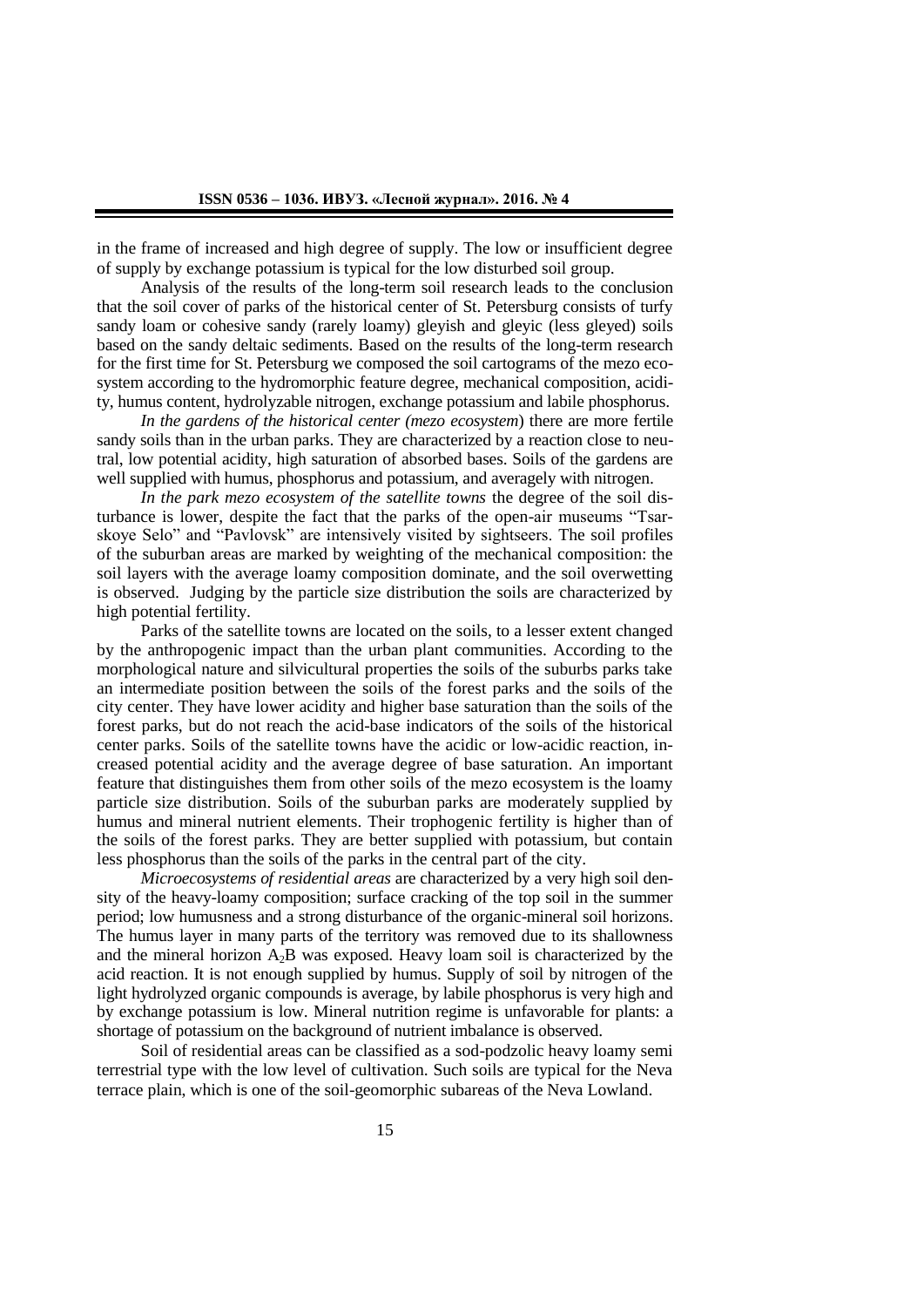in the frame of increased and high degree of supply. The low or insufficient degree of supply by exchange potassium is typical for the low disturbed soil group.

Analysis of the results of the long-term soil research leads to the conclusion that the soil cover of parks of the historical center of St. Petersburg consists of turfy sandy loam or cohesive sandy (rarely loamy) gleyish and gleyic (less gleyed) soils based on the sandy deltaic sediments. Based on the results of the long-term research for the first time for St. Petersburg we composed the soil cartograms of the mezo ecosystem according to the hydromorphic feature degree, mechanical composition, acidity, humus content, hydrolyzable nitrogen, exchange potassium and labile phosphorus.

*In the gardens of the historical center (mezo ecosystem*) there are more fertile sandy soils than in the urban parks. They are characterized by a reaction close to neutral, low potential acidity, high saturation of absorbed bases. Soils of the gardens are well supplied with humus, phosphorus and potassium, and averagely with nitrogen.

*In the park mezo ecosystem of the satellite towns* the degree of the soil disturbance is lower, despite the fact that the parks of the open-air museums "Tsarskoye Selo" and "Pavlovsk" are intensively visited by sightseers. The soil profiles of the suburban areas are marked by weighting of the mechanical composition: the soil layers with the average loamy composition dominate, and the soil overwetting is observed. Judging by the particle size distribution the soils are characterized by high potential fertility.

Parks of the satellite towns are located on the soils, to a lesser extent changed by the anthropogenic impact than the urban plant communities. According to the morphological nature and silvicultural properties the soils of the suburbs parks take an intermediate position between the soils of the forest parks and the soils of the city center. They have lower acidity and higher base saturation than the soils of the forest parks, but do not reach the acid-base indicators of the soils of the historical center parks. Soils of the satellite towns have the acidic or low-acidic reaction, increased potential acidity and the average degree of base saturation. An important feature that distinguishes them from other soils of the mezo ecosystem is the loamy particle size distribution. Soils of the suburban parks are moderately supplied by humus and mineral nutrient elements. Their trophogenic fertility is higher than of the soils of the forest parks. They are better supplied with potassium, but contain less phosphorus than the soils of the parks in the central part of the city.

*Microecosystems of residential areas* are characterized by a very high soil density of the heavy-loamy composition; surface cracking of the top soil in the summer period; low humusness and a strong disturbance of the organic-mineral soil horizons. The humus layer in many parts of the territory was removed due to its shallowness and the mineral horizon  $A_2B$  was exposed. Heavy loam soil is characterized by the acid reaction. It is not enough supplied by humus. Supply of soil by nitrogen of the light hydrolyzed organic compounds is average, by labile phosphorus is very high and by exchange potassium is low. Mineral nutrition regime is unfavorable for plants: a shortage of potassium on the background of nutrient imbalance is observed.

Soil of residential areas can be classified as a sod-podzolic heavy loamy semi terrestrial type with the low level of cultivation. Such soils are typical for the Neva terrace plain, which is one of the soil-geomorphic subareas of the Neva Lowland.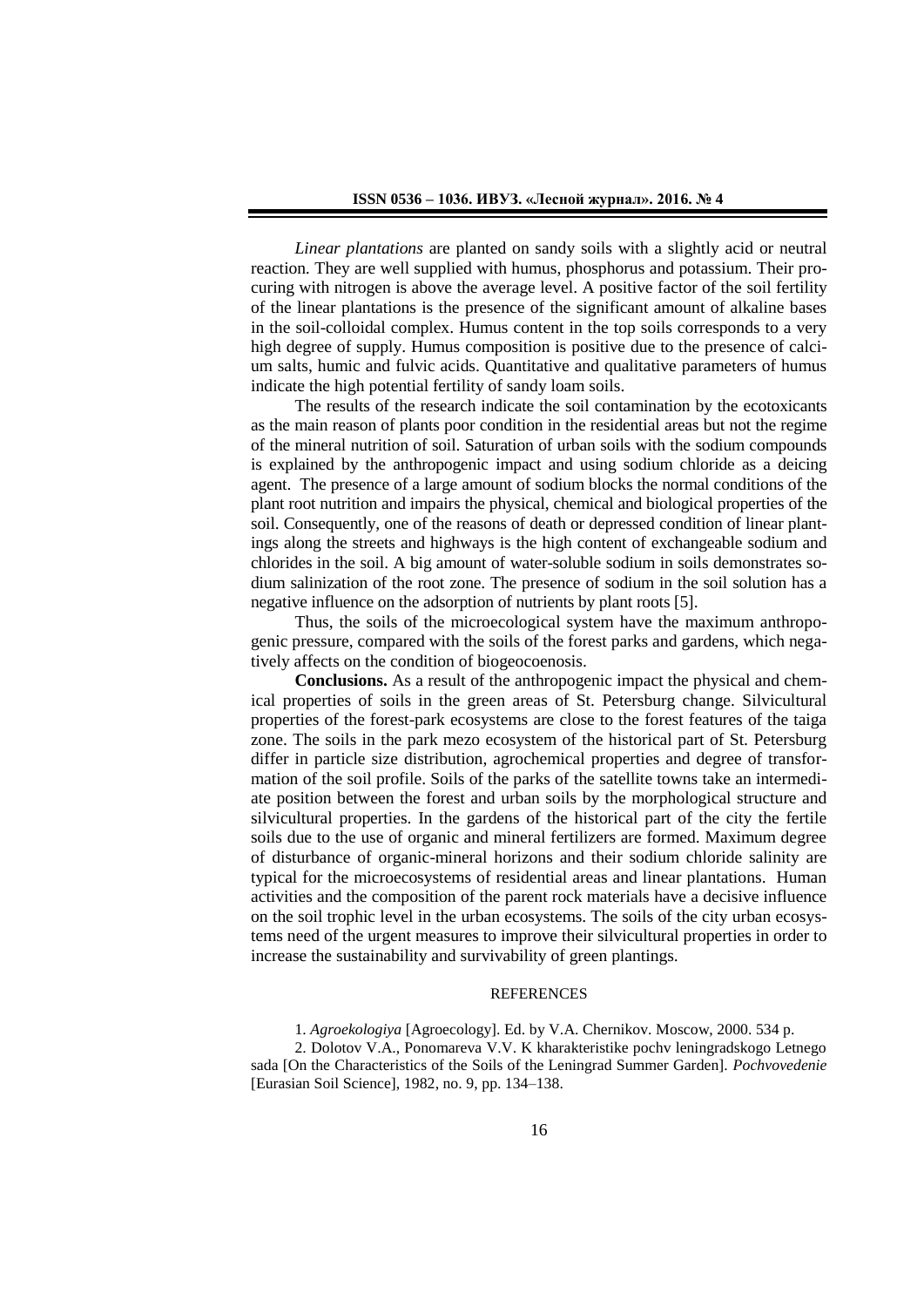*Linear plantations* are planted on sandy soils with a slightly acid or neutral reaction*.* They are well supplied with humus, phosphorus and potassium. Their procuring with nitrogen is above the average level. A positive factor of the soil fertility of the linear plantations is the presence of the significant amount of alkaline bases in the soil-colloidal complex. Humus content in the top soils corresponds to a very high degree of supply. Humus composition is positive due to the presence of calcium salts, humic and fulvic acids. Quantitative and qualitative parameters of humus indicate the high potential fertility of sandy loam soils.

The results of the research indicate the soil contamination by the ecotoxicants as the main reason of plants poor condition in the residential areas but not the regime of the mineral nutrition of soil. Saturation of urban soils with the sodium compounds is explained by the anthropogenic impact and using sodium chloride as a deicing agent. The presence of a large amount of sodium blocks the normal conditions of the plant root nutrition and impairs the physical, chemical and biological properties of the soil. Consequently, one of the reasons of death or depressed condition of linear plantings along the streets and highways is the high content of exchangeable sodium and chlorides in the soil. A big amount of water-soluble sodium in soils demonstrates sodium salinization of the root zone. The presence of sodium in the soil solution has a negative influence on the adsorption of nutrients by plant roots [5].

Thus, the soils of the microecological system have the maximum anthropogenic pressure, compared with the soils of the forest parks and gardens, which negatively affects on the condition of biogeocoenosis.

**Conclusions.** As a result of the anthropogenic impact the physical and chemical properties of soils in the green areas of St. Petersburg change. Silvicultural properties of the forest-park ecosystems are close to the forest features of the taiga zone. The soils in the park mezo ecosystem of the historical part of St. Petersburg differ in particle size distribution, agrochemical properties and degree of transformation of the soil profile. Soils of the parks of the satellite towns take an intermediate position between the forest and urban soils by the morphological structure and silvicultural properties. In the gardens of the historical part of the city the fertile soils due to the use of organic and mineral fertilizers are formed. Maximum degree of disturbance of organic-mineral horizons and their sodium chloride salinity are typical for the microecosystems of residential areas and linear plantations. Human activities and the composition of the parent rock materials have a decisive influence on the soil trophic level in the urban ecosystems. The soils of the city urban ecosystems need of the urgent measures to improve their silvicultural properties in order to increase the sustainability and survivability of green plantings.

# **REFERENCES**

1. *Agroekologiya* [Agroecology]. Ed. by V.A. Chernikov. Moscow, 2000. 534 p.

2. Dolotov V.A., Ponomareva V.V. K kharakteristike pochv leningradskogo Letnego sada [On the Characteristics of the Soils of the Leningrad Summer Garden]. *Pochvovedenie* [Eurasian Soil Science], 1982, no. 9, pp. 134–138.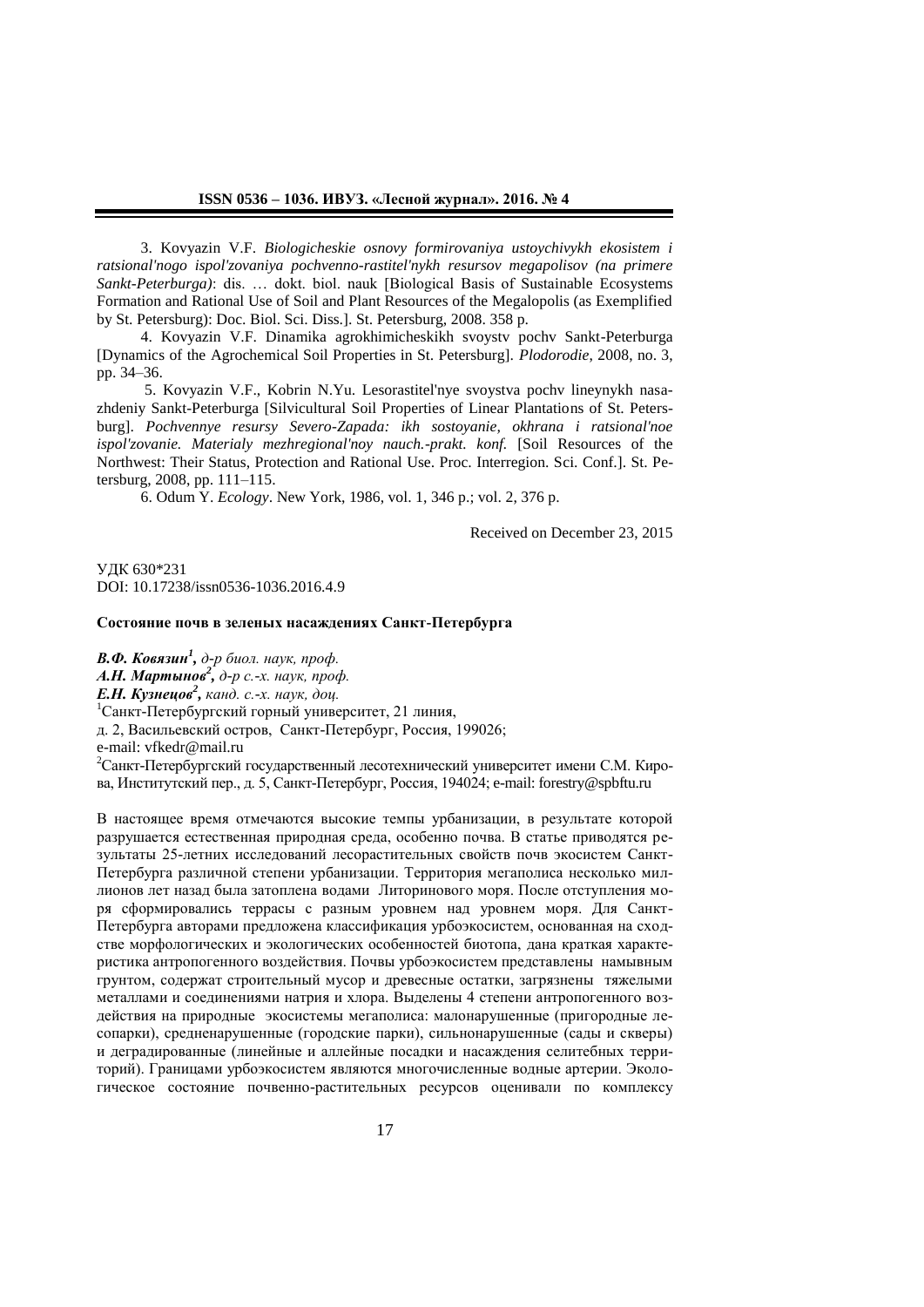3. Kovyazin V.F. *Biologicheskie osnovy formirovaniya ustoychivykh ekosistem i ratsional'nogo ispol'zovaniya pochvenno-rastitel'nykh resursov megapolisov (na primere Sankt-Peterburga)*: dis. … dokt. biol. nauk [Biological Basis of Sustainable Ecosystems Formation and Rational Use of Soil and Plant Resources of the Megalopolis (as Exemplified by St. Petersburg): Doc. Biol. Sci. Diss.]. St. Petersburg, 2008. 358 p.

4. Kovyazin V.F. Dinamika agrokhimicheskikh svoystv pochv Sankt-Peterburga [Dynamics of the Agrochemical Soil Properties in St. Petersburg]. *Plodorodie*, 2008, no. 3, pp. 34–36.

5. Kovyazin V.F., Kobrin N.Yu. Lesorastitel'nye svoystva pochv lineynykh nasazhdeniy Sankt-Peterburga [Silvicultural Soil Properties of Linear Plantations of St. Petersburg]. *Pochvennye resursy Severo-Zapada: ikh sostoyanie, okhrana i ratsional'noe ispol'zovanie. Materialy mezhregional'noy nauch.-prakt. konf.* [Soil Resources of the Northwest: Their Status, Protection and Rational Use. Proc. Interregion. Sci. Conf.]. St. Petersburg, 2008, pp. 111–115.

6. Odum Y. *Ecology*. New York, 1986, vol. 1, 346 p.; vol. 2, 376 p.

Received on December 23, 2015

УДК 630\*231 DOI: 10.17238/issn0536-1036.2016.4.9

### **Состояние почв в зеленых насаждениях Санкт-Петербурга**

*В.Ф. Ковязин<sup>1</sup> , д-р биол. наук, проф. А.Н. Мартынов<sup>2</sup> , д-р с.-х. наук, проф. Е.Н. Кузнецов<sup>2</sup> , канд. с.-х. наук, доц.* <sup>1</sup>Санкт-Петербургский горный университет, 21 линия, д. 2, Васильевский остров, Санкт-Петербург, Россия, 199026; e-mail: vfkedr@mail.ru <sup>2</sup>Санкт-Петербургский государственный лесотехнический университет имени С.М. Кирова, Институтский пер., д. 5, Санкт-Петербург, Россия, 194024; e-mail: forestry@spbftu.ru

В настоящее время отмечаются высокие темпы урбанизации, в результате которой разрушается естественная природная среда, особенно почва. В статье приводятся результаты 25-летних исследований лесорастительных свойств почв экосистем Санкт-Петербурга различной степени урбанизации. Территория мегаполиса несколько миллионов лет назад была затоплена водами Литоринового моря. После отступления моря сформировались террасы с разным уровнем над уровнем моря. Для Санкт-Петербурга авторами предложена классификация урбоэкосистем, основанная на сходстве морфологических и экологических особенностей биотопа, дана краткая характеристика антропогенного воздействия. Почвы урбоэкосистем представлены намывным грунтом, содержат строительный мусор и древесные остатки, загрязнены тяжелыми металлами и соединениями натрия и хлора. Выделены 4 степени антропогенного воздействия на природные экосистемы мегаполиса: малонарушенные (пригородные лесопарки), средненарушенные (городские парки), сильнонарушенные (сады и скверы) и деградированные (линейные и аллейные посадки и насаждения селитебных территорий). Границами урбоэкосистем являются многочисленные водные артерии. Экологическое состояние почвенно-растительных ресурсов оценивали по комплексу